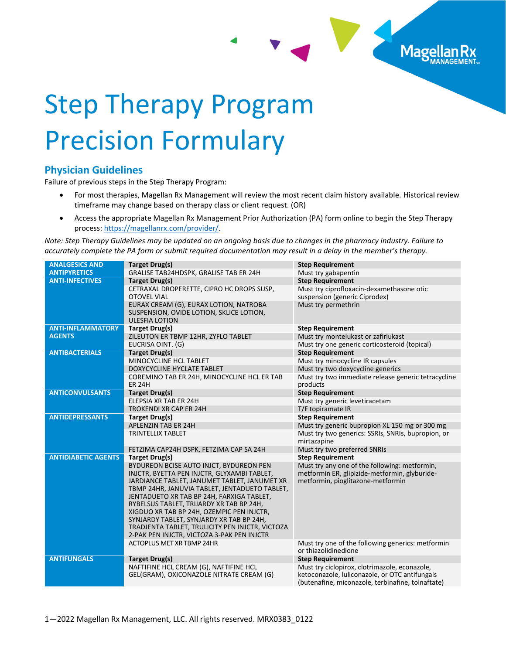

## Step Therapy Program Precision Formulary

## **Physician Guidelines**

Failure of previous steps in the Step Therapy Program:

- For most therapies, Magellan Rx Management will review the most recent claim history available. Historical review timeframe may change based on therapy class or client request. (OR)
- Access the appropriate Magellan Rx Management Prior Authorization (PA) form online to begin the Step Therapy process: [https://magellanrx.com/provider/.](https://magellanrx.com/provider/)

*Note: Step Therapy Guidelines may be updated on an ongoing basis due to changes in the pharmacy industry. Failure to accurately complete the PA form or submit required documentation may result in a delay in the member's therapy.*

| <b>ANALGESICS AND</b>      | Target Drug(s)                                                                                                                                                                                                                                                                                                                                                                                                                                                             | <b>Step Requirement</b>                                                                                                                              |
|----------------------------|----------------------------------------------------------------------------------------------------------------------------------------------------------------------------------------------------------------------------------------------------------------------------------------------------------------------------------------------------------------------------------------------------------------------------------------------------------------------------|------------------------------------------------------------------------------------------------------------------------------------------------------|
| <b>ANTIPYRETICS</b>        | GRALISE TAB24HDSPK, GRALISE TAB ER 24H                                                                                                                                                                                                                                                                                                                                                                                                                                     | Must try gabapentin                                                                                                                                  |
| <b>ANTI-INFECTIVES</b>     | Target Drug(s)                                                                                                                                                                                                                                                                                                                                                                                                                                                             | <b>Step Requirement</b>                                                                                                                              |
|                            | CETRAXAL DROPERETTE, CIPRO HC DROPS SUSP,<br><b>OTOVEL VIAL</b>                                                                                                                                                                                                                                                                                                                                                                                                            | Must try ciprofloxacin-dexamethasone otic<br>suspension (generic Ciprodex)                                                                           |
|                            | EURAX CREAM (G), EURAX LOTION, NATROBA<br>SUSPENSION, OVIDE LOTION, SKLICE LOTION,<br><b>ULESFIA LOTION</b>                                                                                                                                                                                                                                                                                                                                                                | Must try permethrin                                                                                                                                  |
| <b>ANTI-INFLAMMATORY</b>   | Target Drug(s)                                                                                                                                                                                                                                                                                                                                                                                                                                                             | <b>Step Requirement</b>                                                                                                                              |
| <b>AGENTS</b>              | ZILEUTON ER TBMP 12HR, ZYFLO TABLET                                                                                                                                                                                                                                                                                                                                                                                                                                        | Must try montelukast or zafirlukast                                                                                                                  |
|                            | EUCRISA OINT. (G)                                                                                                                                                                                                                                                                                                                                                                                                                                                          | Must try one generic corticosteroid (topical)                                                                                                        |
| <b>ANTIBACTERIALS</b>      | Target Drug(s)                                                                                                                                                                                                                                                                                                                                                                                                                                                             | <b>Step Requirement</b>                                                                                                                              |
|                            | MINOCYCLINE HCL TABLET                                                                                                                                                                                                                                                                                                                                                                                                                                                     | Must try minocycline IR capsules                                                                                                                     |
|                            | DOXYCYCLINE HYCLATE TABLET                                                                                                                                                                                                                                                                                                                                                                                                                                                 | Must try two doxycycline generics                                                                                                                    |
|                            | COREMINO TAB ER 24H, MINOCYCLINE HCL ER TAB<br><b>ER 24H</b>                                                                                                                                                                                                                                                                                                                                                                                                               | Must try two immediate release generic tetracycline<br>products                                                                                      |
| <b>ANTICONVULSANTS</b>     | Target Drug(s)                                                                                                                                                                                                                                                                                                                                                                                                                                                             | <b>Step Requirement</b>                                                                                                                              |
|                            | <b>ELEPSIA XR TAB ER 24H</b>                                                                                                                                                                                                                                                                                                                                                                                                                                               | Must try generic levetiracetam                                                                                                                       |
|                            | <b>TROKENDI XR CAP ER 24H</b>                                                                                                                                                                                                                                                                                                                                                                                                                                              | T/F topiramate IR                                                                                                                                    |
| <b>ANTIDEPRESSANTS</b>     | Target Drug(s)                                                                                                                                                                                                                                                                                                                                                                                                                                                             | <b>Step Requirement</b>                                                                                                                              |
|                            | <b>APLENZIN TAB ER 24H</b>                                                                                                                                                                                                                                                                                                                                                                                                                                                 | Must try generic bupropion XL 150 mg or 300 mg                                                                                                       |
|                            | <b>TRINTELLIX TABLET</b>                                                                                                                                                                                                                                                                                                                                                                                                                                                   | Must try two generics: SSRIs, SNRIs, bupropion, or<br>mirtazapine                                                                                    |
|                            | FETZIMA CAP24H DSPK, FETZIMA CAP SA 24H                                                                                                                                                                                                                                                                                                                                                                                                                                    | Must try two preferred SNRIs                                                                                                                         |
| <b>ANTIDIABETIC AGENTS</b> | Target Drug(s)                                                                                                                                                                                                                                                                                                                                                                                                                                                             | <b>Step Requirement</b>                                                                                                                              |
|                            | BYDUREON BCISE AUTO INJCT, BYDUREON PEN<br>INJCTR, BYETTA PEN INJCTR, GLYXAMBI TABLET,<br>JARDIANCE TABLET, JANUMET TABLET, JANUMET XR<br>TBMP 24HR, JANUVIA TABLET, JENTADUETO TABLET,<br>JENTADUETO XR TAB BP 24H, FARXIGA TABLET,<br>RYBELSUS TABLET, TRIJARDY XR TAB BP 24H,<br>XIGDUO XR TAB BP 24H, OZEMPIC PEN INJCTR,<br>SYNJARDY TABLET, SYNJARDY XR TAB BP 24H,<br>TRADJENTA TABLET, TRULICITY PEN INJCTR, VICTOZA<br>2-PAK PEN INJCTR, VICTOZA 3-PAK PEN INJCTR | Must try any one of the following: metformin,<br>metformin ER, glipizide-metformin, glyburide-<br>metformin, pioglitazone-metformin                  |
|                            | ACTOPLUS MET XR TBMP 24HR                                                                                                                                                                                                                                                                                                                                                                                                                                                  | Must try one of the following generics: metformin<br>or thiazolidinedione                                                                            |
| <b>ANTIFUNGALS</b>         | Target Drug(s)                                                                                                                                                                                                                                                                                                                                                                                                                                                             | <b>Step Requirement</b>                                                                                                                              |
|                            | NAFTIFINE HCL CREAM (G), NAFTIFINE HCL<br>GEL(GRAM), OXICONAZOLE NITRATE CREAM (G)                                                                                                                                                                                                                                                                                                                                                                                         | Must try ciclopirox, clotrimazole, econazole,<br>ketoconazole, luliconazole, or OTC antifungals<br>(butenafine, miconazole, terbinafine, tolnaftate) |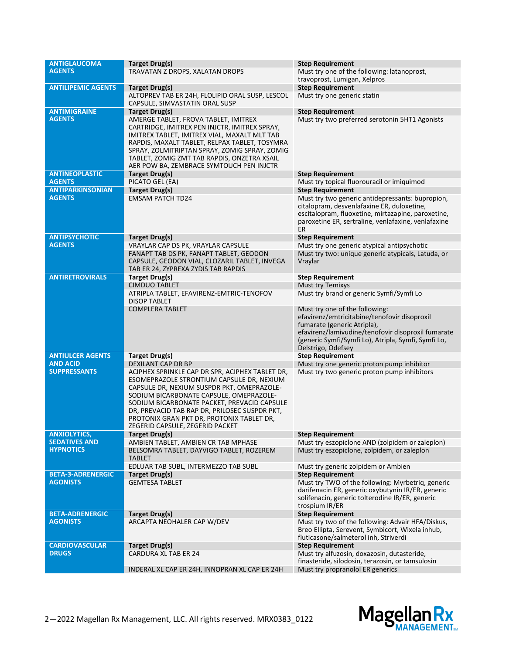| <b>ANTIGLAUCOMA</b>       | Target Drug(s)                                                                                                                                                                                                                                                                                                                                                        | <b>Step Requirement</b>                                                                                                                                                                                                                          |
|---------------------------|-----------------------------------------------------------------------------------------------------------------------------------------------------------------------------------------------------------------------------------------------------------------------------------------------------------------------------------------------------------------------|--------------------------------------------------------------------------------------------------------------------------------------------------------------------------------------------------------------------------------------------------|
| <b>AGENTS</b>             | TRAVATAN Z DROPS, XALATAN DROPS                                                                                                                                                                                                                                                                                                                                       | Must try one of the following: latanoprost,                                                                                                                                                                                                      |
|                           |                                                                                                                                                                                                                                                                                                                                                                       | travoprost, Lumigan, Xelpros                                                                                                                                                                                                                     |
| <b>ANTILIPEMIC AGENTS</b> | Target Drug(s)                                                                                                                                                                                                                                                                                                                                                        | <b>Step Requirement</b>                                                                                                                                                                                                                          |
|                           | ALTOPREV TAB ER 24H, FLOLIPID ORAL SUSP, LESCOL<br>CAPSULE, SIMVASTATIN ORAL SUSP                                                                                                                                                                                                                                                                                     | Must try one generic statin                                                                                                                                                                                                                      |
| <b>ANTIMIGRAINE</b>       | Target Drug(s)                                                                                                                                                                                                                                                                                                                                                        | <b>Step Requirement</b>                                                                                                                                                                                                                          |
| <b>AGENTS</b>             | AMERGE TABLET, FROVA TABLET, IMITREX<br>CARTRIDGE, IMITREX PEN INJCTR, IMITREX SPRAY,<br>IMITREX TABLET, IMITREX VIAL, MAXALT MLT TAB<br>RAPDIS, MAXALT TABLET, RELPAX TABLET, TOSYMRA<br>SPRAY, ZOLMITRIPTAN SPRAY, ZOMIG SPRAY, ZOMIG<br>TABLET, ZOMIG ZMT TAB RAPDIS, ONZETRA XSAIL<br>AER POW BA, ZEMBRACE SYMTOUCH PEN INJCTR                                    | Must try two preferred serotonin 5HT1 Agonists                                                                                                                                                                                                   |
| <b>ANTINEOPLASTIC</b>     | Target Drug(s)                                                                                                                                                                                                                                                                                                                                                        | <b>Step Requirement</b>                                                                                                                                                                                                                          |
| <b>AGENTS</b>             | PICATO GEL (EA)                                                                                                                                                                                                                                                                                                                                                       | Must try topical fluorouracil or imiquimod                                                                                                                                                                                                       |
| <b>ANTIPARKINSONIAN</b>   | Target Drug(s)                                                                                                                                                                                                                                                                                                                                                        | <b>Step Requirement</b>                                                                                                                                                                                                                          |
| <b>AGENTS</b>             | <b>EMSAM PATCH TD24</b>                                                                                                                                                                                                                                                                                                                                               | Must try two generic antidepressants: bupropion,<br>citalopram, desvenlafaxine ER, duloxetine,<br>escitalopram, fluoxetine, mirtazapine, paroxetine,<br>paroxetine ER, sertraline, venlafaxine, venlafaxine<br>ER                                |
| <b>ANTIPSYCHOTIC</b>      | Target Drug(s)                                                                                                                                                                                                                                                                                                                                                        | <b>Step Requirement</b>                                                                                                                                                                                                                          |
| <b>AGENTS</b>             | VRAYLAR CAP DS PK, VRAYLAR CAPSULE                                                                                                                                                                                                                                                                                                                                    | Must try one generic atypical antipsychotic                                                                                                                                                                                                      |
|                           | FANAPT TAB DS PK, FANAPT TABLET, GEODON<br>CAPSULE, GEODON VIAL, CLOZARIL TABLET, INVEGA<br>TAB ER 24, ZYPREXA ZYDIS TAB RAPDIS                                                                                                                                                                                                                                       | Must try two: unique generic atypicals, Latuda, or<br>Vraylar                                                                                                                                                                                    |
| <b>ANTIRETROVIRALS</b>    | Target Drug(s)                                                                                                                                                                                                                                                                                                                                                        | <b>Step Requirement</b>                                                                                                                                                                                                                          |
|                           | <b>CIMDUO TABLET</b>                                                                                                                                                                                                                                                                                                                                                  | Must try Temixys                                                                                                                                                                                                                                 |
|                           | ATRIPLA TABLET, EFAVIRENZ-EMTRIC-TENOFOV<br><b>DISOP TABLET</b>                                                                                                                                                                                                                                                                                                       | Must try brand or generic Symfi/Symfi Lo                                                                                                                                                                                                         |
|                           | <b>COMPLERA TABLET</b>                                                                                                                                                                                                                                                                                                                                                | Must try one of the following:<br>efavirenz/emtricitabine/tenofovir disoproxil<br>fumarate (generic Atripla),<br>efavirenz/lamivudine/tenofovir disoproxil fumarate<br>(generic Symfi/Symfi Lo), Atripla, Symfi, Symfi Lo,<br>Delstrigo, Odefsey |
| <b>ANTIULCER AGENTS</b>   | <b>Target Drug(s)</b>                                                                                                                                                                                                                                                                                                                                                 | <b>Step Requirement</b>                                                                                                                                                                                                                          |
| <b>AND ACID</b>           | DEXILANT CAP DR BP                                                                                                                                                                                                                                                                                                                                                    | Must try one generic proton pump inhibitor                                                                                                                                                                                                       |
| <b>SUPPRESSANTS</b>       | ACIPHEX SPRINKLE CAP DR SPR, ACIPHEX TABLET DR,<br>ESOMEPRAZOLE STRONTIUM CAPSULE DR, NEXIUM<br>CAPSULE DR, NEXIUM SUSPDR PKT, OMEPRAZOLE-<br>SODIUM BICARBONATE CAPSULE, OMEPRAZOLE-<br>SODIUM BICARBONATE PACKET, PREVACID CAPSULE<br>DR, PREVACID TAB RAP DR, PRILOSEC SUSPDR PKT,<br>PROTONIX GRAN PKT DR, PROTONIX TABLET DR,<br>ZEGERID CAPSULE, ZEGERID PACKET | Must try two generic proton pump inhibitors                                                                                                                                                                                                      |
| <b>ANXIOLYTICS,</b>       | <b>Target Drug(s)</b>                                                                                                                                                                                                                                                                                                                                                 | <b>Step Requirement</b>                                                                                                                                                                                                                          |
| <b>SEDATIVES AND</b>      | AMBIEN TABLET, AMBIEN CR TAB MPHASE                                                                                                                                                                                                                                                                                                                                   | Must try eszopiclone AND (zolpidem or zaleplon)                                                                                                                                                                                                  |
| <b>HYPNOTICS</b>          | BELSOMRA TABLET, DAYVIGO TABLET, ROZEREM<br><b>TABLET</b>                                                                                                                                                                                                                                                                                                             | Must try eszopiclone, zolpidem, or zaleplon                                                                                                                                                                                                      |
| <b>BETA-3-ADRENERGIC</b>  | EDLUAR TAB SUBL, INTERMEZZO TAB SUBL                                                                                                                                                                                                                                                                                                                                  | Must try generic zolpidem or Ambien                                                                                                                                                                                                              |
| <b>AGONISTS</b>           | Target Drug(s)<br><b>GEMTESA TABLET</b>                                                                                                                                                                                                                                                                                                                               | <b>Step Requirement</b><br>Must try TWO of the following: Myrbetrig, generic                                                                                                                                                                     |
|                           |                                                                                                                                                                                                                                                                                                                                                                       | darifenacin ER, generic oxybutynin IR/ER, generic<br>solifenacin, generic tolterodine IR/ER, generic<br>trospium IR/ER                                                                                                                           |
| <b>BETA-ADRENERGIC</b>    | <b>Target Drug(s)</b>                                                                                                                                                                                                                                                                                                                                                 | <b>Step Requirement</b>                                                                                                                                                                                                                          |
| <b>AGONISTS</b>           | ARCAPTA NEOHALER CAP W/DEV                                                                                                                                                                                                                                                                                                                                            | Must try two of the following: Advair HFA/Diskus,<br>Breo Ellipta, Serevent, Symbicort, Wixela inhub,<br>fluticasone/salmeterol inh, Striverdi                                                                                                   |
| <b>CARDIOVASCULAR</b>     | Target Drug(s)                                                                                                                                                                                                                                                                                                                                                        | <b>Step Requirement</b>                                                                                                                                                                                                                          |
| <b>DRUGS</b>              | <b>CARDURA XL TAB ER 24</b>                                                                                                                                                                                                                                                                                                                                           | Must try alfuzosin, doxazosin, dutasteride,<br>finasteride, silodosin, terazosin, or tamsulosin                                                                                                                                                  |
|                           | INDERAL XL CAP ER 24H, INNOPRAN XL CAP ER 24H                                                                                                                                                                                                                                                                                                                         | Must try propranolol ER generics                                                                                                                                                                                                                 |